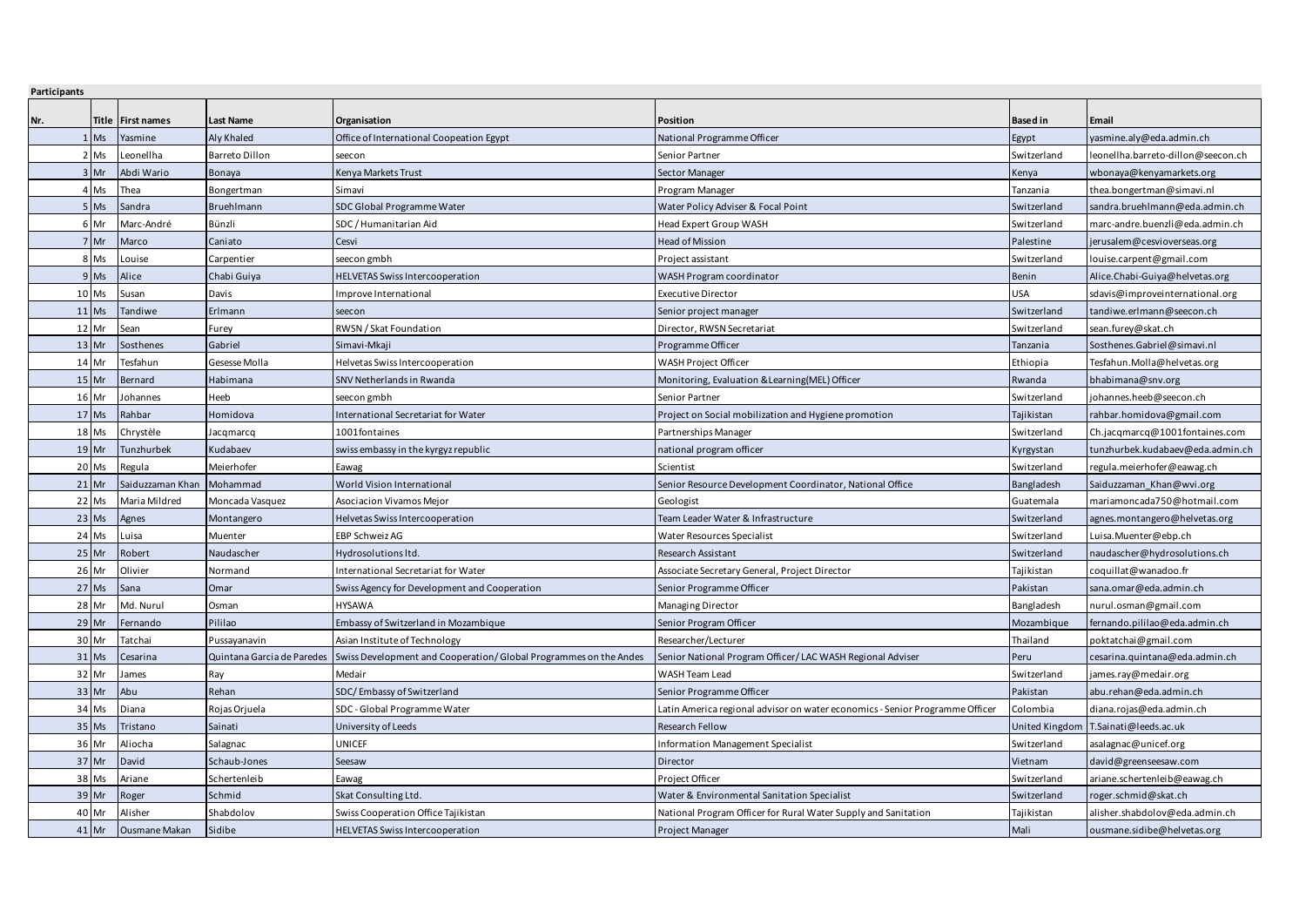| Participants |         |                      |                            |                                                                  |                                                                             |                 |                                      |
|--------------|---------|----------------------|----------------------------|------------------------------------------------------------------|-----------------------------------------------------------------------------|-----------------|--------------------------------------|
| Nr.          | Title   | <b>First names</b>   | Last Name                  | Organisation                                                     | Position                                                                    | <b>Based in</b> | Email                                |
|              | Ms      | Yasmine              | Aly Khaled                 | Office of International Coopeation Egypt                         | National Programme Officer                                                  | Egypt           | yasmine.aly@eda.admin.ch             |
|              | 2 Ms    | Leonellha            | <b>Barreto Dillon</b>      | seecon                                                           | Senior Partner                                                              | Switzerland     | eonellha.barreto-dillon@seecon.ch    |
|              | $3$ Mr  | Abdi Wario           | Bonaya                     | Kenya Markets Trust                                              | Sector Manager                                                              | Kenya           | wbonaya@kenyamarkets.org             |
|              | 4 Ms    | Thea                 | Bongertman                 | Simavi                                                           | Program Manager                                                             | Tanzania        | thea.bongertman@simavi.nl            |
|              | 5 Ms    | Sandra               | <b>Bruehlmann</b>          | SDC Global Programme Water                                       | Water Policy Adviser & Focal Point                                          | Switzerland     | sandra.bruehlmann@eda.admin.ch       |
|              | 6 Mr    | Marc-André           | Bünzli                     | SDC / Humanitarian Aid                                           | Head Expert Group WASH                                                      | Switzerland     | marc-andre.buenzli@eda.admin.ch      |
|              | 7 Mr    | Marco                | Caniato                    | Cesvi                                                            | Head of Mission                                                             | Palestine       | erusalem@cesvioverseas.org           |
|              | 8 Ms    | Louise               | Carpentier                 | seecon gmbh                                                      | Project assistant                                                           | Switzerland     | louise.carpent@gmail.com             |
|              | $9$ Ms  | Alice                | Chabi Guiya                | <b>HELVETAS Swiss Intercooperation</b>                           | WASH Program coordinator                                                    | Benin           | Alice.Chabi-Guiya@helvetas.org       |
|              | 10 Ms   | Susan                | Davis                      | Improve International                                            | <b>Executive Director</b>                                                   | <b>USA</b>      | sdavis@improveinternational.org      |
|              | $11$ Ms | Tandiwe              | Erlmann                    | seecon                                                           | Senior project manager                                                      | Switzerland     | tandiwe.erlmann@seecon.ch            |
|              | 12 Mr   | Sean                 | Furey                      | RWSN / Skat Foundation                                           | Director, RWSN Secretariat                                                  | Switzerland     | sean.furey@skat.ch                   |
|              | 13 Mr   | Sosthenes            | Gabriel                    | Simavi-Mkaji                                                     | Programme Officer                                                           | Tanzania        | Sosthenes.Gabriel@simavi.nl          |
|              | 14 Mr   | Tesfahun             | Gesesse Molla              | Helvetas Swiss Intercooperation                                  | WASH Project Officer                                                        | Ethiopia        | Tesfahun.Molla@helvetas.org          |
|              | 15 Mr   | Bernard              | Habimana                   | SNV Netherlands in Rwanda                                        | Monitoring, Evaluation & Learning(MEL) Officer                              | Rwanda          | bhabimana@snv.org                    |
|              | 16 Mr   | Johannes             | Heeb                       | seecon gmbh                                                      | Senior Partner                                                              | Switzerland     | johannes.heeb@seecon.ch              |
|              | $17$ Ms | Rahbar               | Homidova                   | International Secretariat for Water                              | Project on Social mobilization and Hygiene promotion                        | Tajikistan      | rahbar.homidova@gmail.com            |
|              | 18 Ms   | Chrystèle            | lacgmarcg                  | 1001fontaines                                                    | Partnerships Manager                                                        | Switzerland     | Ch.jacqmarcq@1001fontaines.com       |
|              | $19$ Mr | Tunzhurbek           | Kudabaev                   | swiss embassy in the kyrgyz republic                             | national program officer                                                    | Kyrgystan       | tunzhurbek.kudabaev@eda.admin.ch     |
|              | 20 Ms   | Regula               | Meierhofer                 | Eawag                                                            | Scientist                                                                   | Switzerland     | regula.meierhofer@eawag.ch           |
|              | 21 Mr   | Saiduzzaman Khan     | Mohammad                   | World Vision International                                       | Senior Resource Development Coordinator, National Office                    | Bangladesh      | Saiduzzaman Khan@wvi.org             |
|              | 22 Ms   | Maria Mildred        | Moncada Vasquez            | Asociacion Vivamos Mejor                                         | Geologist                                                                   | Guatemala       | mariamoncada750@hotmail.com          |
|              | $23$ Ms | Agnes                | Montangero                 | Helvetas Swiss Intercooperation                                  | Team Leader Water & Infrastructure                                          | Switzerland     | agnes.montangero@helvetas.org        |
|              | 24 Ms   | Luisa                | Muenter                    | EBP Schweiz AG                                                   | Water Resources Specialist                                                  | Switzerland     | Luisa.Muenter@ebp.ch                 |
|              | 25 Mr   | Robert               | Naudascher                 | Hydrosolutions ltd.                                              | Research Assistant                                                          | Switzerland     | naudascher@hydrosolutions.ch         |
|              | 26 Mr   | Olivier              | Normand                    | International Secretariat for Water                              | Associate Secretary General, Project Director                               | Tajikistan      | coquillat@wanadoo.fr                 |
|              | 27 Ms   | Sana                 | Omar                       | Swiss Agency for Development and Cooperation                     | Senior Programme Officer                                                    | Pakistan        | sana.omar@eda.admin.ch               |
|              | 28 Mr   | Md. Nurul            | Osman                      | HYSAWA                                                           | Managing Director                                                           | Bangladesh      | nurul.osman@gmail.com                |
|              | 29 Mr   | Fernando             | Pililao                    | Embassy of Switzerland in Mozambique                             | Senior Program Officer                                                      | Mozambique      | fernando.pililao@eda.admin.ch        |
|              | 30 Mr   | Tatchai              | Pussayanavin               | Asian Institute of Technology                                    | Researcher/Lecturer                                                         | Thailand        | poktatchai@gmail.com                 |
|              | 31 Ms   | Cesarina             | Quintana Garcia de Paredes | Swiss Development and Cooperation/Global Programmes on the Andes | Senior National Program Officer/LAC WASH Regional Adviser                   | Peru            | cesarina.quintana@eda.admin.ch       |
|              | 32 Mr   | James                | Ray                        | Medair                                                           | WASH Team Lead                                                              | Switzerland     | ames.ray@medair.org                  |
|              | 33 Mr   | Abu                  | Rehan                      | SDC/Embassy of Switzerland                                       | Senior Programme Officer                                                    | Pakistan        | abu.rehan@eda.admin.ch               |
|              | 34 Ms   | Diana                | Rojas Orjuela              | SDC - Global Programme Water                                     | atin America regional advisor on water economics - Senior Programme Officer | Colombia        | diana.rojas@eda.admin.ch             |
|              | 35 Ms   | Tristano             | Sainati                    | University of Leeds                                              | <b>Research Fellow</b>                                                      |                 | United Kingdom T.Sainati@leeds.ac.uk |
|              | 36 Mr   | Aliocha              | Salagnac                   | <b>UNICEF</b>                                                    | Information Management Specialist                                           | Switzerland     | asalagnac@unicef.org                 |
|              | 37 Mr   | David                | Schaub-Jones               | Seesaw                                                           | Director                                                                    | Vietnam         | david@greenseesaw.com                |
|              | 38 Ms   | Ariane               | Schertenleib               | Eawag                                                            | Project Officer                                                             | Switzerland     | ariane.schertenleib@eawag.ch         |
|              | 39 Mr   | Roger                | Schmid                     | Skat Consulting Ltd.                                             | Water & Environmental Sanitation Specialist                                 | Switzerland     | roger.schmid@skat.ch                 |
|              | 40 Mr   | Alisher              | Shabdolov                  | Swiss Cooperation Office Tajikistan                              | National Program Officer for Rural Water Supply and Sanitation              | Tajikistan      | alisher.shabdolov@eda.admin.ch       |
|              | 41 Mr   | <b>Ousmane Makan</b> | Sidibe                     | <b>HELVETAS Swiss Intercooperation</b>                           | Project Manager                                                             | Mali            | ousmane.sidibe@helvetas.org          |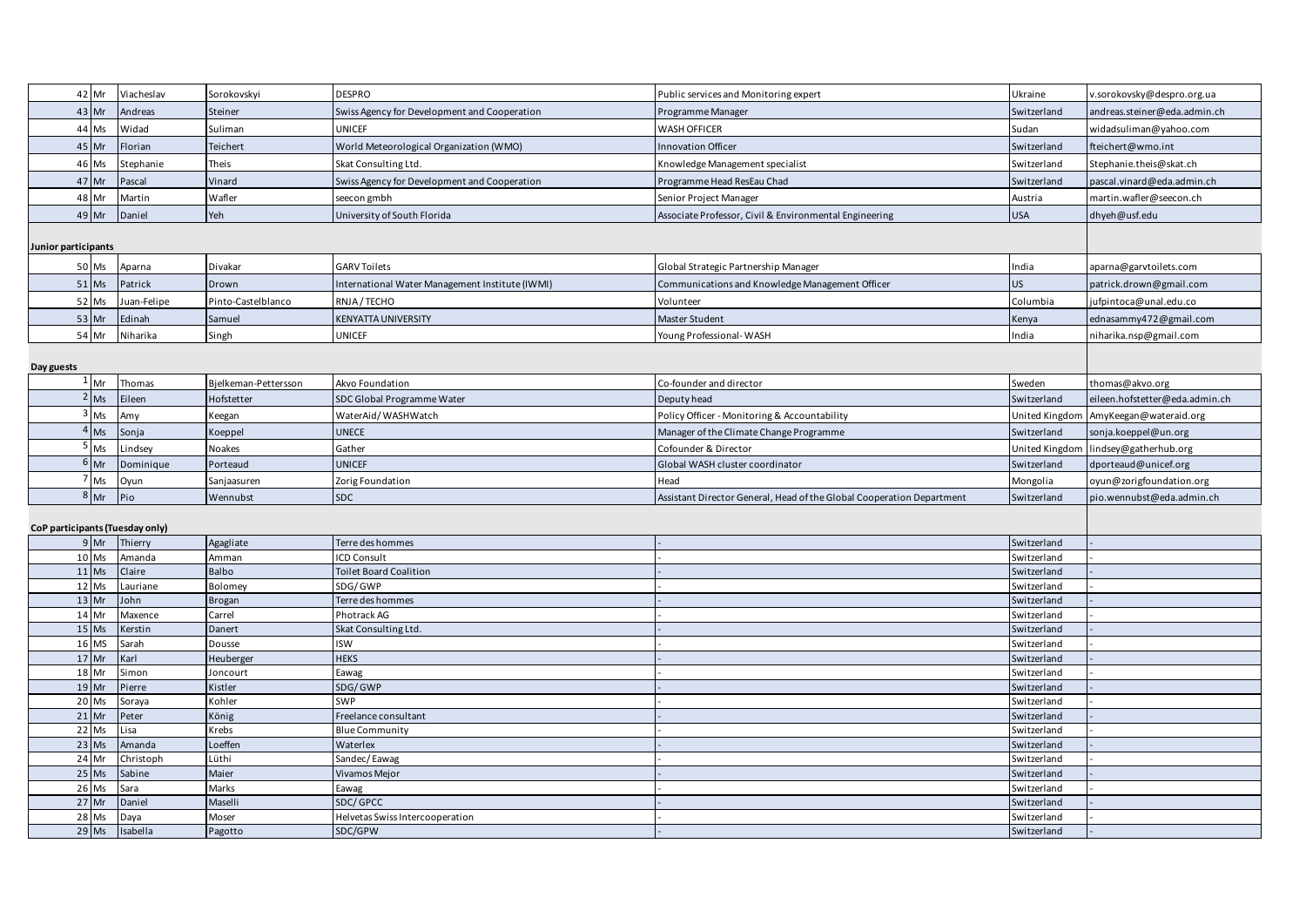|                     | 42 Mr             | Viacheslav                      | Sorokovskyi          | <b>DESPRO</b>                                  | Public services and Monitoring expert                                 | Ukraine                    | v.sorokovsky@despro.org.ua     |
|---------------------|-------------------|---------------------------------|----------------------|------------------------------------------------|-----------------------------------------------------------------------|----------------------------|--------------------------------|
|                     | 43 Mr             | Andreas                         | Steiner              | Swiss Agency for Development and Cooperation   | Programme Manager                                                     | Switzerland                | andreas.steiner@eda.admin.ch   |
|                     | 44 Ms             | Widad                           | Suliman              | <b>UNICEF</b>                                  | <b>WASH OFFICER</b>                                                   | Sudan                      | widadsuliman@yahoo.com         |
|                     | 45 Mr             | Florian                         | Teichert             | World Meteorological Organization (WMO)        | <b>Innovation Officer</b>                                             | Switzerland                | fteichert@wmo.int              |
|                     | 46 Ms             | Stephanie                       | Theis                | Skat Consulting Ltd.                           | Knowledge Management specialist                                       | Switzerland                | Stephanie.theis@skat.ch        |
|                     | 47 Mr             | Pascal                          | Vinard               | Swiss Agency for Development and Cooperation   | Programme Head ResEau Chad                                            | Switzerland                | pascal.vinard@eda.admin.ch     |
|                     | 48 Mr             | Martin                          | Wafler               | seecon gmbh                                    | Senior Project Manager                                                | Austria                    | martin.wafler@seecon.ch        |
|                     | 49 Mr             | Daniel                          | Yeh                  | University of South Florida                    | Associate Professor, Civil & Environmental Engineering                | <b>USA</b>                 | dhyeh@usf.edu                  |
|                     |                   |                                 |                      |                                                |                                                                       |                            |                                |
| Junior participants |                   |                                 |                      |                                                |                                                                       |                            |                                |
|                     | 50 Ms             | Aparna                          | Divakar              | <b>GARV Toilets</b>                            | Global Strategic Partnership Manager                                  | India                      | aparna@garvtoilets.com         |
|                     | 51 Ms             | Patrick                         | Drown                | nternational Water Management Institute (IWMI) | Communications and Knowledge Management Officer                       | US                         | patrick.drown@gmail.com        |
|                     | 52 Ms             | Juan-Felipe                     | Pinto-Castelblanco   | RNJA/TECHO                                     | Volunteer                                                             | Columbia                   | jufpintoca@unal.edu.co         |
|                     | 53 Mr             | Edinah                          | Samuel               | KENYATTA UNIVERSITY                            | Master Student                                                        | Kenya                      | ednasammy472@gmail.com         |
|                     | 54 Mr             | Niharika                        | Singh                | UNICEF                                         | Young Professional-WASH                                               | India                      | niharika.nsp@gmail.com         |
|                     |                   |                                 |                      |                                                |                                                                       |                            |                                |
| Day guests          |                   |                                 |                      |                                                |                                                                       |                            |                                |
|                     | $1_{\mathsf{Mr}}$ | Thomas                          | Bielkeman-Pettersson | Akvo Foundation                                | Co-founder and director                                               | Sweden                     | thomas@akvo.org                |
|                     | Ms                | Eileen                          | Hofstetter           | SDC Global Programme Water                     | Deputy head                                                           | Switzerland                | eileen.hofstetter@eda.admin.ch |
|                     | $3 \, \text{Ms}$  | Amy                             | Keegan               | WaterAid/WASHWatch                             | Policy Officer - Monitoring & Accountability                          | United Kingdom             | AmyKeegan@wateraid.org         |
|                     | $4$ Ms            | Sonja                           | Koeppel              | <b>UNECE</b>                                   | Manager of the Climate Change Programme                               | Switzerland                | sonja.koeppel@un.org           |
|                     | 5 <sub>Ms</sub>   | Lindsey                         | Noakes               | Gather                                         | Cofounder & Director                                                  | United Kingdom             | lindsey@gatherhub.org          |
|                     | $6$ Mr            | Dominique                       | Porteaud             | <b>UNICEF</b>                                  | Global WASH cluster coordinator                                       | Switzerland                | dporteaud@unicef.org           |
|                     | Ms                | Oyun                            | Sanjaasuren          | Zorig Foundation                               | Head                                                                  | Mongolia                   | oyun@zorigfoundation.org       |
|                     | $8 \text{ Mr}$    | Pio                             | Wennubst             | SDC                                            | Assistant Director General, Head of the Global Cooperation Department | Switzerland                | pio.wennubst@eda.admin.ch      |
|                     |                   |                                 |                      |                                                |                                                                       |                            |                                |
|                     |                   | CoP participants (Tuesday only) |                      |                                                |                                                                       |                            |                                |
|                     | $9$ Mr            | Thierry                         | Agagliate            | Terre des hommes                               |                                                                       | Switzerland                |                                |
|                     | 10 Ms             | Amanda                          | Amman                | <b>CD Consult</b>                              |                                                                       | Switzerland                |                                |
|                     | 11 Ms             | Claire                          | Balbo                | <b>Toilet Board Coalition</b>                  |                                                                       | Switzerland                |                                |
|                     | 12 Ms             | Lauriane                        | Bolomey              | SDG/GWP                                        |                                                                       | Switzerland                |                                |
|                     | 13 Mr             | John                            | <b>Brogan</b>        | Terre des hommes                               |                                                                       | Switzerland                |                                |
|                     | 14 Mr             | Maxence                         | Carrel               | Photrack AG                                    |                                                                       | Switzerland                |                                |
|                     | 15 Ms             | Kerstin                         | Danert               | Skat Consulting Ltd.                           |                                                                       | Switzerland                |                                |
|                     | 16 MS             | Sarah                           | Dousse               | <b>ISW</b>                                     |                                                                       | Switzerland                |                                |
|                     | 17 Mr             | Karl                            | Heuberger            | <b>HEKS</b>                                    |                                                                       | Switzerland                |                                |
|                     | 18 Mr             | Simon                           | Joncourt             | Eawag                                          |                                                                       | Switzerland                |                                |
|                     | 19 Mr             | Pierre                          | Kistler              | SDG/GWP                                        |                                                                       | Switzerland                |                                |
|                     | 20 Ms             | Soraya                          | Kohler               | SWP                                            |                                                                       | Switzerland                |                                |
|                     | 21 Mr             | Peter                           | König                | Freelance consultant                           |                                                                       | Switzerland                |                                |
|                     | 22 Ms             | Lisa                            | Krebs                | <b>Blue Community</b>                          |                                                                       | Switzerland                |                                |
|                     | 23 Ms             | Amanda                          | Loeffen              | Waterlex                                       |                                                                       | Switzerland                |                                |
|                     | 24 Mr<br>25 Ms    | Christoph<br>Sabine             | Lüthi<br>Maier       | Sandec/Eawag<br>Vivamos Mejor                  |                                                                       | Switzerland<br>Switzerland |                                |
|                     | 26 Ms             | Sara                            | Marks                | Eawag                                          |                                                                       | Switzerland                |                                |
|                     | $27$ Mr           | Daniel                          | Maselli              | SDC/GPCC                                       |                                                                       | Switzerland                |                                |
|                     | 28 Ms             | Daya                            | Moser                | Helvetas Swiss Intercooperation                |                                                                       | Switzerland                |                                |
|                     | 29 Ms             | Isabella                        | Pagotto              | SDC/GPW                                        |                                                                       | Switzerland                |                                |
|                     |                   |                                 |                      |                                                |                                                                       |                            |                                |